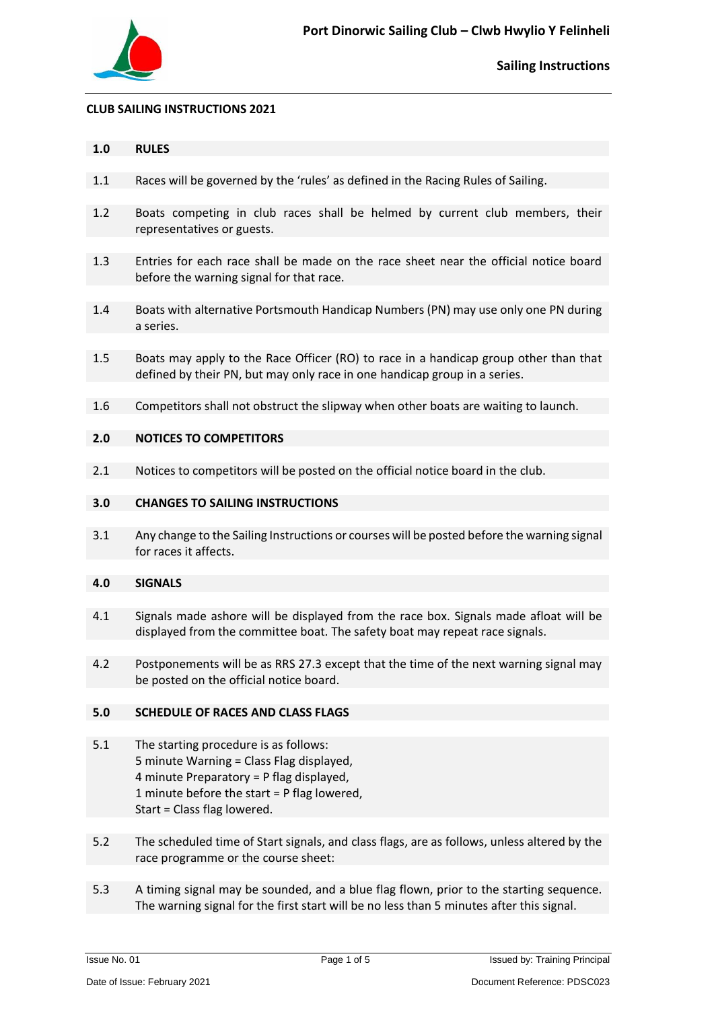

#### **CLUB SAILING INSTRUCTIONS 2021**

#### **1.0 RULES**

- 1.1 Races will be governed by the 'rules' as defined in the Racing Rules of Sailing.
- 1.2 Boats competing in club races shall be helmed by current club members, their representatives or guests.
- 1.3 Entries for each race shall be made on the race sheet near the official notice board before the warning signal for that race.
- 1.4 Boats with alternative Portsmouth Handicap Numbers (PN) may use only one PN during a series.
- 1.5 Boats may apply to the Race Officer (RO) to race in a handicap group other than that defined by their PN, but may only race in one handicap group in a series.
- 1.6 Competitors shall not obstruct the slipway when other boats are waiting to launch.

#### **2.0 NOTICES TO COMPETITORS**

2.1 Notices to competitors will be posted on the official notice board in the club.

#### **3.0 CHANGES TO SAILING INSTRUCTIONS**

3.1 Any change to the Sailing Instructions or courses will be posted before the warning signal for races it affects.

#### **4.0 SIGNALS**

- 4.1 Signals made ashore will be displayed from the race box. Signals made afloat will be displayed from the committee boat. The safety boat may repeat race signals.
- 4.2 Postponements will be as RRS 27.3 except that the time of the next warning signal may be posted on the official notice board.

#### **5.0 SCHEDULE OF RACES AND CLASS FLAGS**

- 5.1 The starting procedure is as follows: 5 minute Warning = Class Flag displayed, 4 minute Preparatory = P flag displayed, 1 minute before the start = P flag lowered, Start = Class flag lowered.
- 5.2 The scheduled time of Start signals, and class flags, are as follows, unless altered by the race programme or the course sheet:
- 5.3 A timing signal may be sounded, and a blue flag flown, prior to the starting sequence. The warning signal for the first start will be no less than 5 minutes after this signal.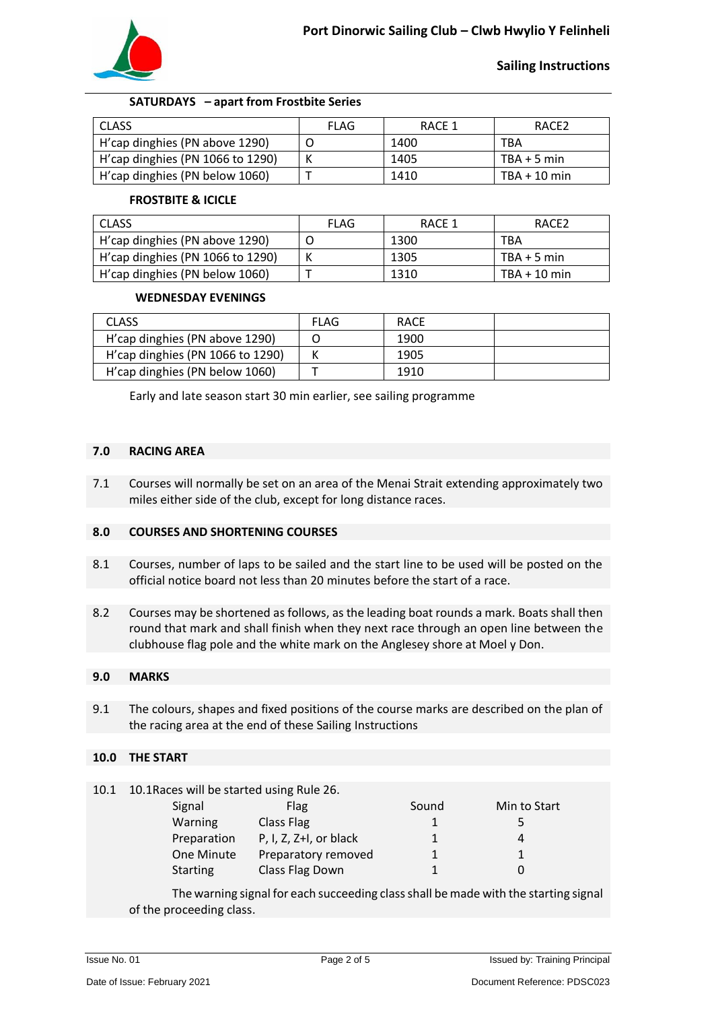

# **Sailing Instructions**

## **SATURDAYS – apart from Frostbite Series**

| <b>CLASS</b>                     | FLAG | RACE 1 | RACE <sub>2</sub> |
|----------------------------------|------|--------|-------------------|
| H'cap dinghies (PN above 1290)   |      | 1400   | <b>TBA</b>        |
| H'cap dinghies (PN 1066 to 1290) |      | 1405   | $TBA + 5 min$     |
| H'cap dinghies (PN below 1060)   |      | 1410   | $TBA + 10$ min    |

#### **FROSTBITE & ICICLE**

| <b>CLASS</b>                     | FLAG | RACE 1 | RACE <sub>2</sub> |
|----------------------------------|------|--------|-------------------|
| H'cap dinghies (PN above 1290)   |      | 1300   | TBA               |
| H'cap dinghies (PN 1066 to 1290) |      | 1305   | $TBA + 5 min$     |
| H'cap dinghies (PN below 1060)   |      | 1310   | TBA + 10 min      |

## **WEDNESDAY EVENINGS**

| <b>CLASS</b>                     | <b>FLAG</b> | <b>RACE</b> |  |
|----------------------------------|-------------|-------------|--|
| H'cap dinghies (PN above 1290)   |             | 1900        |  |
| H'cap dinghies (PN 1066 to 1290) |             | 1905        |  |
| H'cap dinghies (PN below 1060)   |             | 1910        |  |

Early and late season start 30 min earlier, see sailing programme

#### **7.0 RACING AREA**

7.1 Courses will normally be set on an area of the Menai Strait extending approximately two miles either side of the club, except for long distance races.

## **8.0 COURSES AND SHORTENING COURSES**

- 8.1 Courses, number of laps to be sailed and the start line to be used will be posted on the official notice board not less than 20 minutes before the start of a race.
- 8.2 Courses may be shortened as follows, as the leading boat rounds a mark. Boats shall then round that mark and shall finish when they next race through an open line between the clubhouse flag pole and the white mark on the Anglesey shore at Moel y Don.

## **9.0 MARKS**

9.1 The colours, shapes and fixed positions of the course marks are described on the plan of the racing area at the end of these Sailing Instructions

## **10.0 THE START**

10.1 10.1Races will be started using Rule 26.

| Signal          | <b>Flag</b>            | Sound | Min to Start |
|-----------------|------------------------|-------|--------------|
| Warning         | Class Flag             |       | 5            |
| Preparation     | P, I, Z, Z+I, or black |       | 4            |
| One Minute      | Preparatory removed    |       |              |
| <b>Starting</b> | Class Flag Down        |       |              |

The warning signal for each succeeding class shall be made with the starting signal of the proceeding class.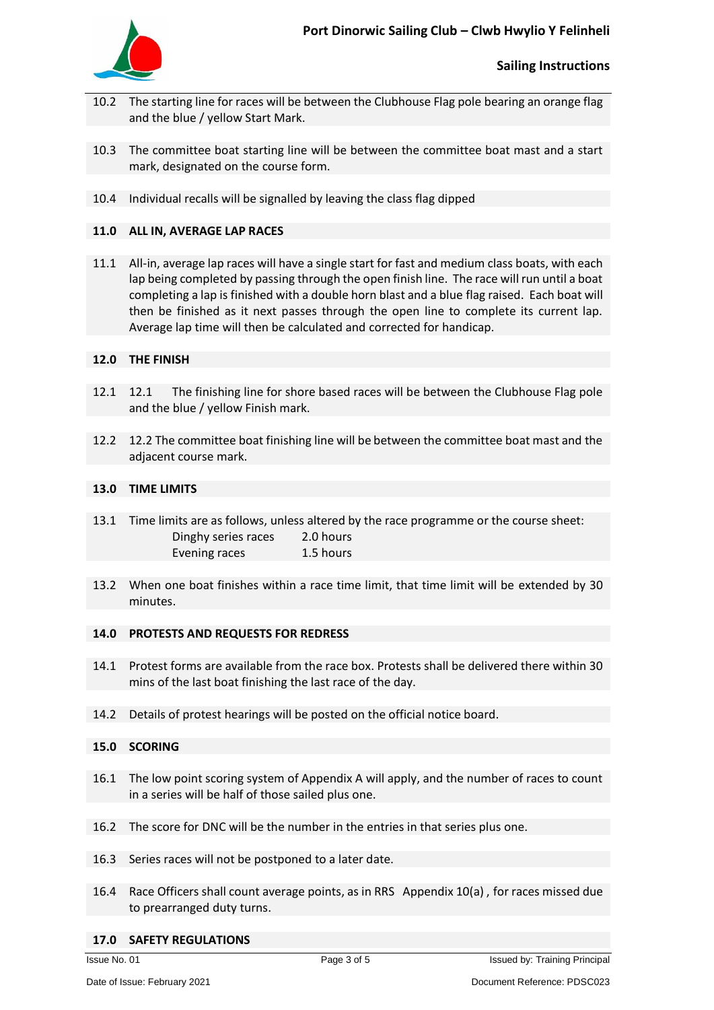

- 10.2 The starting line for races will be between the Clubhouse Flag pole bearing an orange flag and the blue / yellow Start Mark.
- 10.3 The committee boat starting line will be between the committee boat mast and a start mark, designated on the course form.
- 10.4 Individual recalls will be signalled by leaving the class flag dipped

## **11.0 ALL IN, AVERAGE LAP RACES**

11.1 All-in, average lap races will have a single start for fast and medium class boats, with each lap being completed by passing through the open finish line. The race will run until a boat completing a lap is finished with a double horn blast and a blue flag raised. Each boat will then be finished as it next passes through the open line to complete its current lap. Average lap time will then be calculated and corrected for handicap.

# **12.0 THE FINISH**

- 12.1 12.1 The finishing line for shore based races will be between the Clubhouse Flag pole and the blue / yellow Finish mark.
- 12.2 12.2 The committee boat finishing line will be between the committee boat mast and the adjacent course mark.

## **13.0 TIME LIMITS**

- 13.1 Time limits are as follows, unless altered by the race programme or the course sheet: Dinghy series races 2.0 hours Evening races 1.5 hours
- 13.2 When one boat finishes within a race time limit, that time limit will be extended by 30 minutes.

## **14.0 PROTESTS AND REQUESTS FOR REDRESS**

- 14.1 Protest forms are available from the race box. Protests shall be delivered there within 30 mins of the last boat finishing the last race of the day.
- 14.2 Details of protest hearings will be posted on the official notice board.

## **15.0 SCORING**

- 16.1 The low point scoring system of Appendix A will apply, and the number of races to count in a series will be half of those sailed plus one.
- 16.2 The score for DNC will be the number in the entries in that series plus one.
- 16.3 Series races will not be postponed to a later date.
- 16.4 Race Officers shall count average points, as in RRS Appendix 10(a) , for races missed due to prearranged duty turns.

## **17.0 SAFETY REGULATIONS**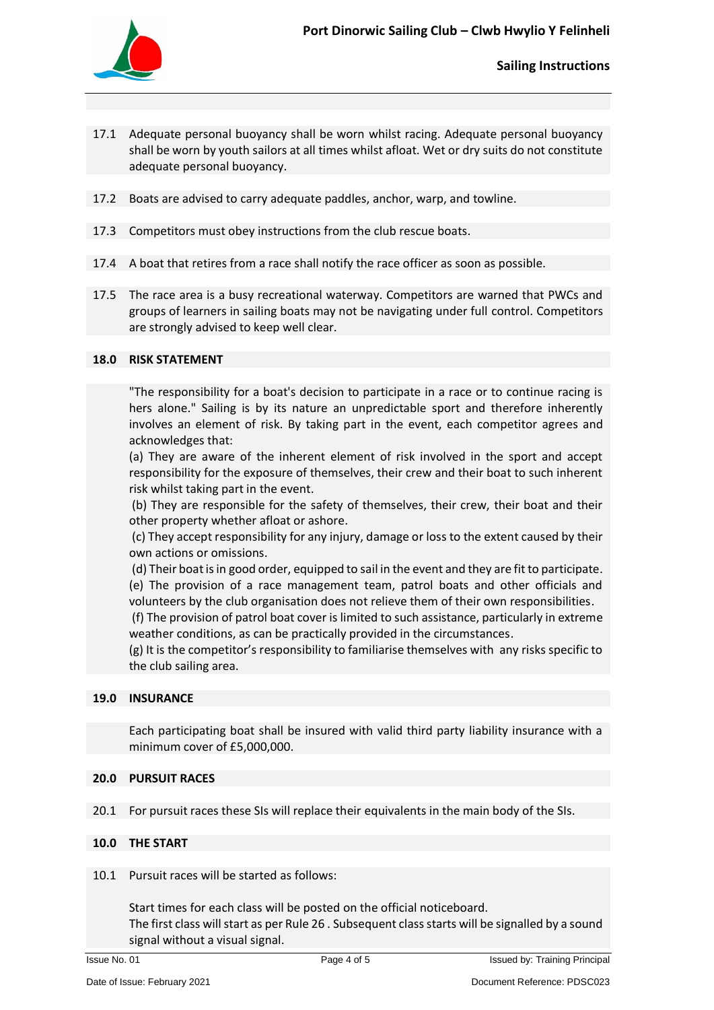

- 17.1 Adequate personal buoyancy shall be worn whilst racing. Adequate personal buoyancy shall be worn by youth sailors at all times whilst afloat. Wet or dry suits do not constitute adequate personal buoyancy.
- 17.2 Boats are advised to carry adequate paddles, anchor, warp, and towline.
- 17.3 Competitors must obey instructions from the club rescue boats.
- 17.4 A boat that retires from a race shall notify the race officer as soon as possible.
- 17.5 The race area is a busy recreational waterway. Competitors are warned that PWCs and groups of learners in sailing boats may not be navigating under full control. Competitors are strongly advised to keep well clear.

## **18.0 RISK STATEMENT**

"The responsibility for a boat's decision to participate in a race or to continue racing is hers alone." Sailing is by its nature an unpredictable sport and therefore inherently involves an element of risk. By taking part in the event, each competitor agrees and acknowledges that:

(a) They are aware of the inherent element of risk involved in the sport and accept responsibility for the exposure of themselves, their crew and their boat to such inherent risk whilst taking part in the event.

(b) They are responsible for the safety of themselves, their crew, their boat and their other property whether afloat or ashore.

(c) They accept responsibility for any injury, damage or loss to the extent caused by their own actions or omissions.

(d) Their boat is in good order, equipped to sail in the event and they are fit to participate. (e) The provision of a race management team, patrol boats and other officials and

volunteers by the club organisation does not relieve them of their own responsibilities.

(f) The provision of patrol boat cover is limited to such assistance, particularly in extreme weather conditions, as can be practically provided in the circumstances.

(g) It is the competitor's responsibility to familiarise themselves with any risks specific to the club sailing area.

## **19.0 INSURANCE**

Each participating boat shall be insured with valid third party liability insurance with a minimum cover of £5,000,000.

## **20.0 PURSUIT RACES**

20.1 For pursuit races these SIs will replace their equivalents in the main body of the SIs.

## **10.0 THE START**

10.1 Pursuit races will be started as follows:

Start times for each class will be posted on the official noticeboard. The first class will start as per Rule 26 . Subsequent class starts will be signalled by a sound signal without a visual signal.